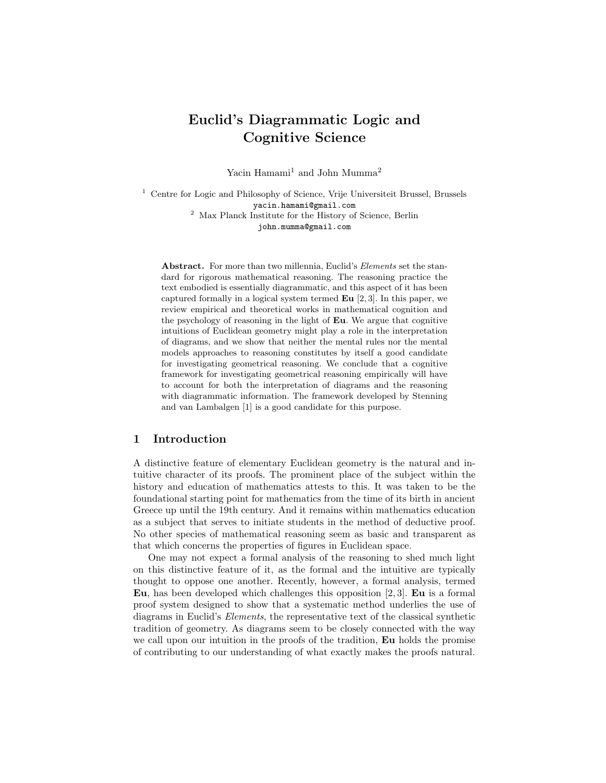# Euclid's Diagrammatic Logic and Cognitive Science

Yacin Hamami<sup>1</sup> and John Mumma<sup>2</sup>

 $^{\rm 1}$  Centre for Logic and Philosophy of Science, Vrije Universiteit Brussel, Brussels yacin.hamami@gmail.com <sup>2</sup> Max Planck Institute for the History of Science, Berlin john.mumma@gmail.com

Abstract. For more than two millennia, Euclid's Elements set the standard for rigorous mathematical reasoning. The reasoning practice the text embodied is essentially diagrammatic, and this aspect of it has been captured formally in a logical system termed  $\mathbf{E}\mathbf{u}$  [2, 3]. In this paper, we review empirical and theoretical works in mathematical cognition and the psychology of reasoning in the light of Eu. We argue that cognitive intuitions of Euclidean geometry might play a role in the interpretation of diagrams, and we show that neither the mental rules nor the mental models approaches to reasoning constitutes by itself a good candidate for investigating geometrical reasoning. We conclude that a cognitive framework for investigating geometrical reasoning empirically will have to account for both the interpretation of diagrams and the reasoning with diagrammatic information. The framework developed by Stenning and van Lambalgen [1] is a good candidate for this purpose.

#### 1 Introduction

A distinctive feature of elementary Euclidean geometry is the natural and intuitive character of its proofs. The prominent place of the subject within the history and education of mathematics attests to this. It was taken to be the foundational starting point for mathematics from the time of its birth in ancient Greece up until the 19th century. And it remains within mathematics education as a subject that serves to initiate students in the method of deductive proof. No other species of mathematical reasoning seem as basic and transparent as that which concerns the properties of figures in Euclidean space.

One may not expect a formal analysis of the reasoning to shed much light on this distinctive feature of it, as the formal and the intuitive are typically thought to oppose one another. Recently, however, a formal analysis, termed Eu, has been developed which challenges this opposition [2, 3]. Eu is a formal proof system designed to show that a systematic method underlies the use of diagrams in Euclid's Elements, the representative text of the classical synthetic tradition of geometry. As diagrams seem to be closely connected with the way we call upon our intuition in the proofs of the tradition, Eu holds the promise of contributing to our understanding of what exactly makes the proofs natural.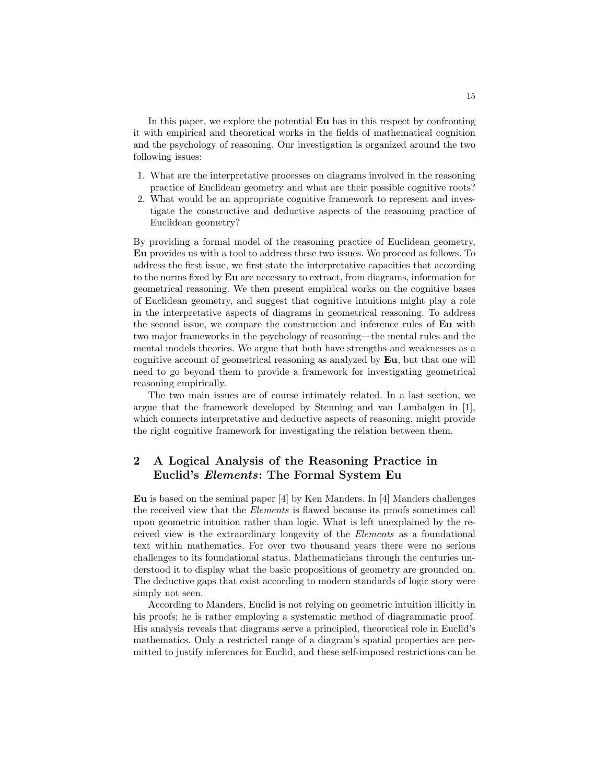In this paper, we explore the potential Eu has in this respect by confronting it with empirical and theoretical works in the fields of mathematical cognition and the psychology of reasoning. Our investigation is organized around the two following issues:

- 1. What are the interpretative processes on diagrams involved in the reasoning practice of Euclidean geometry and what are their possible cognitive roots?
- 2. What would be an appropriate cognitive framework to represent and investigate the constructive and deductive aspects of the reasoning practice of Euclidean geometry?

By providing a formal model of the reasoning practice of Euclidean geometry, Eu provides us with a tool to address these two issues. We proceed as follows. To address the first issue, we first state the interpretative capacities that according to the norms fixed by Eu are necessary to extract, from diagrams, information for geometrical reasoning. We then present empirical works on the cognitive bases of Euclidean geometry, and suggest that cognitive intuitions might play a role in the interpretative aspects of diagrams in geometrical reasoning. To address the second issue, we compare the construction and inference rules of Eu with two major frameworks in the psychology of reasoning—the mental rules and the mental models theories. We argue that both have strengths and weaknesses as a cognitive account of geometrical reasoning as analyzed by Eu, but that one will need to go beyond them to provide a framework for investigating geometrical reasoning empirically.

The two main issues are of course intimately related. In a last section, we argue that the framework developed by Stenning and van Lambalgen in [1], which connects interpretative and deductive aspects of reasoning, might provide the right cognitive framework for investigating the relation between them.

# 2 A Logical Analysis of the Reasoning Practice in Euclid's Elements: The Formal System Eu

Eu is based on the seminal paper [4] by Ken Manders. In [4] Manders challenges the received view that the Elements is flawed because its proofs sometimes call upon geometric intuition rather than logic. What is left unexplained by the received view is the extraordinary longevity of the Elements as a foundational text within mathematics. For over two thousand years there were no serious challenges to its foundational status. Mathematicians through the centuries understood it to display what the basic propositions of geometry are grounded on. The deductive gaps that exist according to modern standards of logic story were simply not seen.

According to Manders, Euclid is not relying on geometric intuition illicitly in his proofs; he is rather employing a systematic method of diagrammatic proof. His analysis reveals that diagrams serve a principled, theoretical role in Euclid's mathematics. Only a restricted range of a diagram's spatial properties are permitted to justify inferences for Euclid, and these self-imposed restrictions can be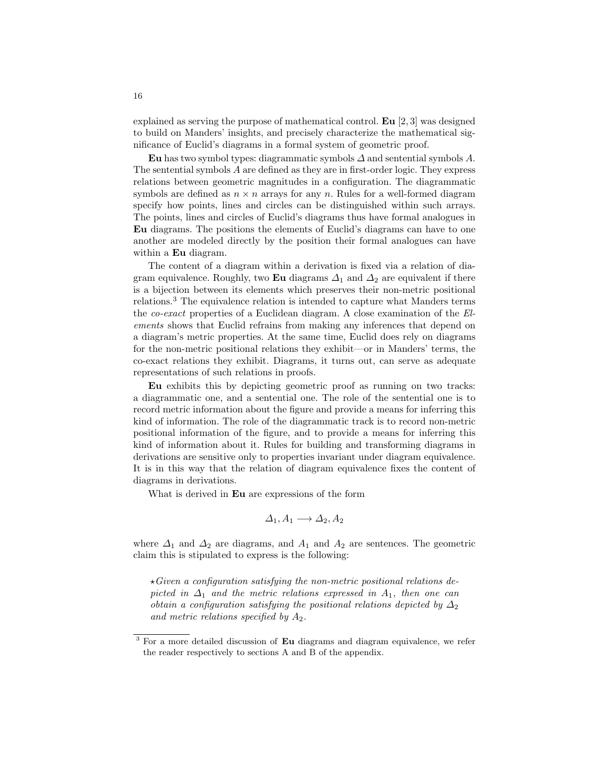explained as serving the purpose of mathematical control.  $\mathbf{Eu}$  [2, 3] was designed to build on Manders' insights, and precisely characterize the mathematical significance of Euclid's diagrams in a formal system of geometric proof.

Eu has two symbol types: diagrammatic symbols  $\Delta$  and sentential symbols  $A$ . The sentential symbols A are defined as they are in first-order logic. They express relations between geometric magnitudes in a configuration. The diagrammatic symbols are defined as  $n \times n$  arrays for any n. Rules for a well-formed diagram specify how points, lines and circles can be distinguished within such arrays. The points, lines and circles of Euclid's diagrams thus have formal analogues in Eu diagrams. The positions the elements of Euclid's diagrams can have to one another are modeled directly by the position their formal analogues can have within a **Eu** diagram.

The content of a diagram within a derivation is fixed via a relation of diagram equivalence. Roughly, two Eu diagrams  $\Delta_1$  and  $\Delta_2$  are equivalent if there is a bijection between its elements which preserves their non-metric positional relations.<sup>3</sup> The equivalence relation is intended to capture what Manders terms the co-exact properties of a Euclidean diagram. A close examination of the Elements shows that Euclid refrains from making any inferences that depend on a diagram's metric properties. At the same time, Euclid does rely on diagrams for the non-metric positional relations they exhibit—or in Manders' terms, the co-exact relations they exhibit. Diagrams, it turns out, can serve as adequate representations of such relations in proofs.

Eu exhibits this by depicting geometric proof as running on two tracks: a diagrammatic one, and a sentential one. The role of the sentential one is to record metric information about the figure and provide a means for inferring this kind of information. The role of the diagrammatic track is to record non-metric positional information of the figure, and to provide a means for inferring this kind of information about it. Rules for building and transforming diagrams in derivations are sensitive only to properties invariant under diagram equivalence. It is in this way that the relation of diagram equivalence fixes the content of diagrams in derivations.

What is derived in Eu are expressions of the form

$$
\Delta_1, A_1 \longrightarrow \Delta_2, A_2
$$

where  $\Delta_1$  and  $\Delta_2$  are diagrams, and  $A_1$  and  $A_2$  are sentences. The geometric claim this is stipulated to express is the following:

 $\star$ Given a configuration satisfying the non-metric positional relations depicted in  $\Delta_1$  and the metric relations expressed in  $A_1$ , then one can obtain a configuration satisfying the positional relations depicted by  $\Delta_2$ and metric relations specified by  $A_2$ .

<sup>&</sup>lt;sup>3</sup> For a more detailed discussion of **Eu** diagrams and diagram equivalence, we refer the reader respectively to sections A and B of the appendix.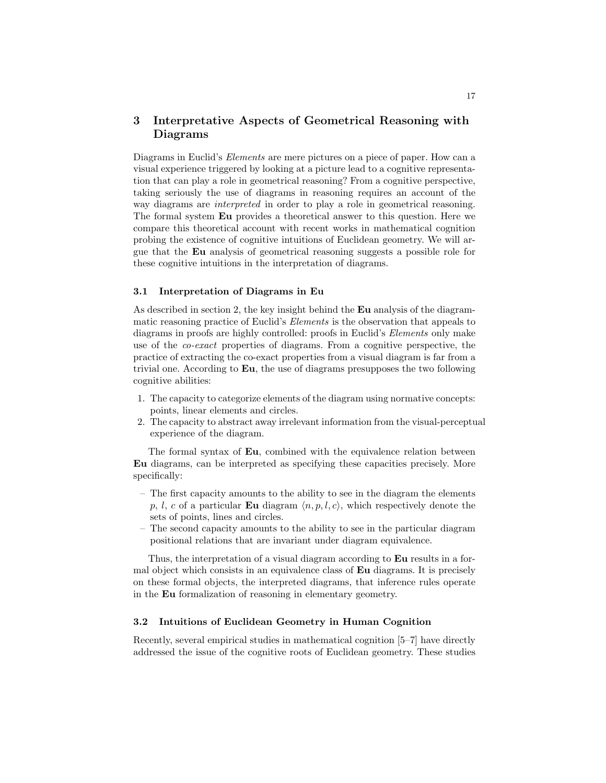### 3 Interpretative Aspects of Geometrical Reasoning with Diagrams

Diagrams in Euclid's Elements are mere pictures on a piece of paper. How can a visual experience triggered by looking at a picture lead to a cognitive representation that can play a role in geometrical reasoning? From a cognitive perspective, taking seriously the use of diagrams in reasoning requires an account of the way diagrams are interpreted in order to play a role in geometrical reasoning. The formal system Eu provides a theoretical answer to this question. Here we compare this theoretical account with recent works in mathematical cognition probing the existence of cognitive intuitions of Euclidean geometry. We will argue that the Eu analysis of geometrical reasoning suggests a possible role for these cognitive intuitions in the interpretation of diagrams.

#### 3.1 Interpretation of Diagrams in Eu

As described in section 2, the key insight behind the Eu analysis of the diagrammatic reasoning practice of Euclid's Elements is the observation that appeals to diagrams in proofs are highly controlled: proofs in Euclid's Elements only make use of the co-exact properties of diagrams. From a cognitive perspective, the practice of extracting the co-exact properties from a visual diagram is far from a trivial one. According to Eu, the use of diagrams presupposes the two following cognitive abilities:

- 1. The capacity to categorize elements of the diagram using normative concepts: points, linear elements and circles.
- 2. The capacity to abstract away irrelevant information from the visual-perceptual experience of the diagram.

The formal syntax of Eu, combined with the equivalence relation between Eu diagrams, can be interpreted as specifying these capacities precisely. More specifically:

- The first capacity amounts to the ability to see in the diagram the elements p, l, c of a particular Eu diagram  $\langle n, p, l, c \rangle$ , which respectively denote the sets of points, lines and circles.
- The second capacity amounts to the ability to see in the particular diagram positional relations that are invariant under diagram equivalence.

Thus, the interpretation of a visual diagram according to Eu results in a formal object which consists in an equivalence class of Eu diagrams. It is precisely on these formal objects, the interpreted diagrams, that inference rules operate in the Eu formalization of reasoning in elementary geometry.

#### 3.2 Intuitions of Euclidean Geometry in Human Cognition

Recently, several empirical studies in mathematical cognition [5–7] have directly addressed the issue of the cognitive roots of Euclidean geometry. These studies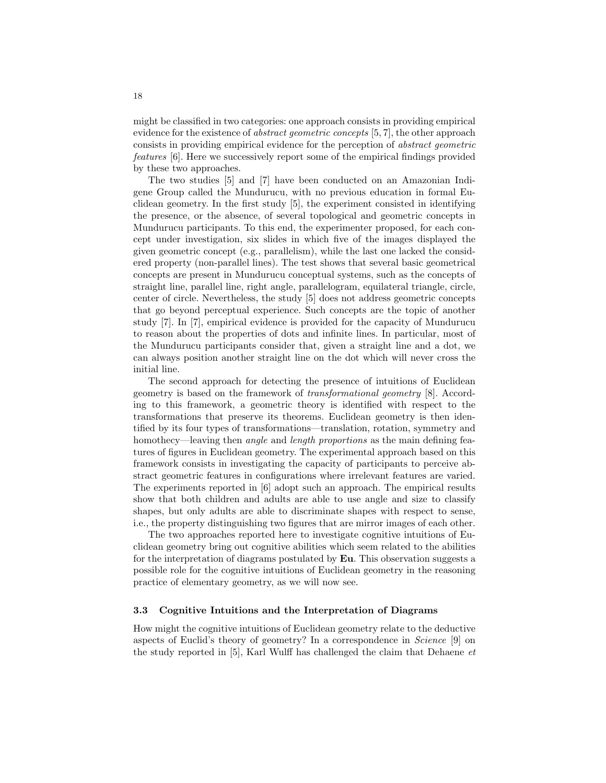might be classified in two categories: one approach consists in providing empirical evidence for the existence of abstract geometric concepts [5, 7], the other approach consists in providing empirical evidence for the perception of abstract geometric features [6]. Here we successively report some of the empirical findings provided by these two approaches.

The two studies [5] and [7] have been conducted on an Amazonian Indigene Group called the Mundurucu, with no previous education in formal Euclidean geometry. In the first study [5], the experiment consisted in identifying the presence, or the absence, of several topological and geometric concepts in Mundurucu participants. To this end, the experimenter proposed, for each concept under investigation, six slides in which five of the images displayed the given geometric concept (e.g., parallelism), while the last one lacked the considered property (non-parallel lines). The test shows that several basic geometrical concepts are present in Mundurucu conceptual systems, such as the concepts of straight line, parallel line, right angle, parallelogram, equilateral triangle, circle, center of circle. Nevertheless, the study [5] does not address geometric concepts that go beyond perceptual experience. Such concepts are the topic of another study [7]. In [7], empirical evidence is provided for the capacity of Mundurucu to reason about the properties of dots and infinite lines. In particular, most of the Mundurucu participants consider that, given a straight line and a dot, we can always position another straight line on the dot which will never cross the initial line.

The second approach for detecting the presence of intuitions of Euclidean geometry is based on the framework of transformational geometry [8]. According to this framework, a geometric theory is identified with respect to the transformations that preserve its theorems. Euclidean geometry is then identified by its four types of transformations—translation, rotation, symmetry and homothecy—leaving then *angle* and *length proportions* as the main defining features of figures in Euclidean geometry. The experimental approach based on this framework consists in investigating the capacity of participants to perceive abstract geometric features in configurations where irrelevant features are varied. The experiments reported in [6] adopt such an approach. The empirical results show that both children and adults are able to use angle and size to classify shapes, but only adults are able to discriminate shapes with respect to sense, i.e., the property distinguishing two figures that are mirror images of each other.

The two approaches reported here to investigate cognitive intuitions of Euclidean geometry bring out cognitive abilities which seem related to the abilities for the interpretation of diagrams postulated by  $\mathbf{E} \mathbf{u}$ . This observation suggests a possible role for the cognitive intuitions of Euclidean geometry in the reasoning practice of elementary geometry, as we will now see.

#### 3.3 Cognitive Intuitions and the Interpretation of Diagrams

How might the cognitive intuitions of Euclidean geometry relate to the deductive aspects of Euclid's theory of geometry? In a correspondence in Science [9] on the study reported in  $[5]$ , Karl Wulff has challenged the claim that Dehaene  $et$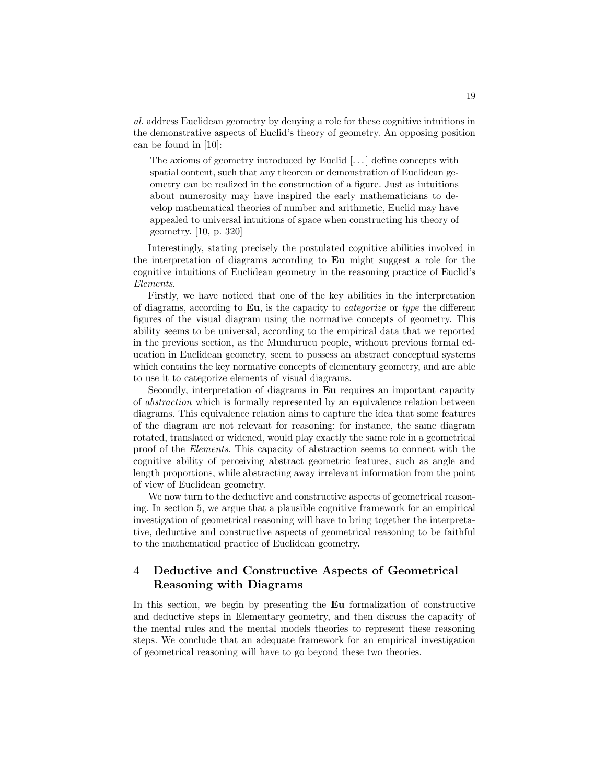al. address Euclidean geometry by denying a role for these cognitive intuitions in the demonstrative aspects of Euclid's theory of geometry. An opposing position can be found in [10]:

The axioms of geometry introduced by Euclid [. . . ] define concepts with spatial content, such that any theorem or demonstration of Euclidean geometry can be realized in the construction of a figure. Just as intuitions about numerosity may have inspired the early mathematicians to develop mathematical theories of number and arithmetic, Euclid may have appealed to universal intuitions of space when constructing his theory of geometry. [10, p. 320]

Interestingly, stating precisely the postulated cognitive abilities involved in the interpretation of diagrams according to Eu might suggest a role for the cognitive intuitions of Euclidean geometry in the reasoning practice of Euclid's Elements.

Firstly, we have noticed that one of the key abilities in the interpretation of diagrams, according to Eu, is the capacity to *categorize* or type the different figures of the visual diagram using the normative concepts of geometry. This ability seems to be universal, according to the empirical data that we reported in the previous section, as the Mundurucu people, without previous formal education in Euclidean geometry, seem to possess an abstract conceptual systems which contains the key normative concepts of elementary geometry, and are able to use it to categorize elements of visual diagrams.

Secondly, interpretation of diagrams in Eu requires an important capacity of abstraction which is formally represented by an equivalence relation between diagrams. This equivalence relation aims to capture the idea that some features of the diagram are not relevant for reasoning: for instance, the same diagram rotated, translated or widened, would play exactly the same role in a geometrical proof of the Elements. This capacity of abstraction seems to connect with the cognitive ability of perceiving abstract geometric features, such as angle and length proportions, while abstracting away irrelevant information from the point of view of Euclidean geometry.

We now turn to the deductive and constructive aspects of geometrical reasoning. In section 5, we argue that a plausible cognitive framework for an empirical investigation of geometrical reasoning will have to bring together the interpretative, deductive and constructive aspects of geometrical reasoning to be faithful to the mathematical practice of Euclidean geometry.

## 4 Deductive and Constructive Aspects of Geometrical Reasoning with Diagrams

In this section, we begin by presenting the Eu formalization of constructive and deductive steps in Elementary geometry, and then discuss the capacity of the mental rules and the mental models theories to represent these reasoning steps. We conclude that an adequate framework for an empirical investigation of geometrical reasoning will have to go beyond these two theories.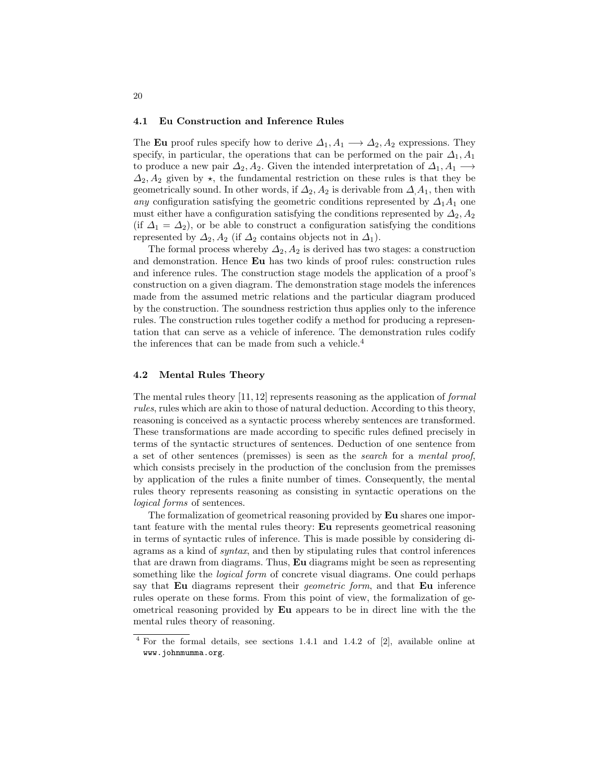#### 4.1 Eu Construction and Inference Rules

The Eu proof rules specify how to derive  $\Delta_1, A_1 \longrightarrow \Delta_2, A_2$  expressions. They specify, in particular, the operations that can be performed on the pair  $\Delta_1$ ,  $A_1$ to produce a new pair  $\Delta_2$ ,  $A_2$ . Given the intended interpretation of  $\Delta_1$ ,  $A_1 \longrightarrow$  $\Delta_2$ ,  $A_2$  given by  $\star$ , the fundamental restriction on these rules is that they be geometrically sound. In other words, if  $\Delta_2$ ,  $A_2$  is derivable from  $\Delta A_1$ , then with any configuration satisfying the geometric conditions represented by  $\Delta_1A_1$  one must either have a configuration satisfying the conditions represented by  $\Delta_2$ ,  $A_2$ (if  $\Delta_1 = \Delta_2$ ), or be able to construct a configuration satisfying the conditions represented by  $\Delta_2$ ,  $A_2$  (if  $\Delta_2$  contains objects not in  $\Delta_1$ ).

The formal process whereby  $\Delta_2$ ,  $A_2$  is derived has two stages: a construction and demonstration. Hence Eu has two kinds of proof rules: construction rules and inference rules. The construction stage models the application of a proof's construction on a given diagram. The demonstration stage models the inferences made from the assumed metric relations and the particular diagram produced by the construction. The soundness restriction thus applies only to the inference rules. The construction rules together codify a method for producing a representation that can serve as a vehicle of inference. The demonstration rules codify the inferences that can be made from such a vehicle.<sup>4</sup>

#### 4.2 Mental Rules Theory

The mental rules theory  $[11, 12]$  represents reasoning as the application of *formal* rules, rules which are akin to those of natural deduction. According to this theory, reasoning is conceived as a syntactic process whereby sentences are transformed. These transformations are made according to specific rules defined precisely in terms of the syntactic structures of sentences. Deduction of one sentence from a set of other sentences (premisses) is seen as the search for a mental proof, which consists precisely in the production of the conclusion from the premisses by application of the rules a finite number of times. Consequently, the mental rules theory represents reasoning as consisting in syntactic operations on the logical forms of sentences.

The formalization of geometrical reasoning provided by Eu shares one important feature with the mental rules theory: Eu represents geometrical reasoning in terms of syntactic rules of inference. This is made possible by considering diagrams as a kind of syntax, and then by stipulating rules that control inferences that are drawn from diagrams. Thus, Eu diagrams might be seen as representing something like the *logical form* of concrete visual diagrams. One could perhaps say that Eu diagrams represent their *geometric form*, and that Eu inference rules operate on these forms. From this point of view, the formalization of geometrical reasoning provided by Eu appears to be in direct line with the the mental rules theory of reasoning.

<sup>4</sup> For the formal details, see sections 1.4.1 and 1.4.2 of [2], available online at www.johnmumma.org.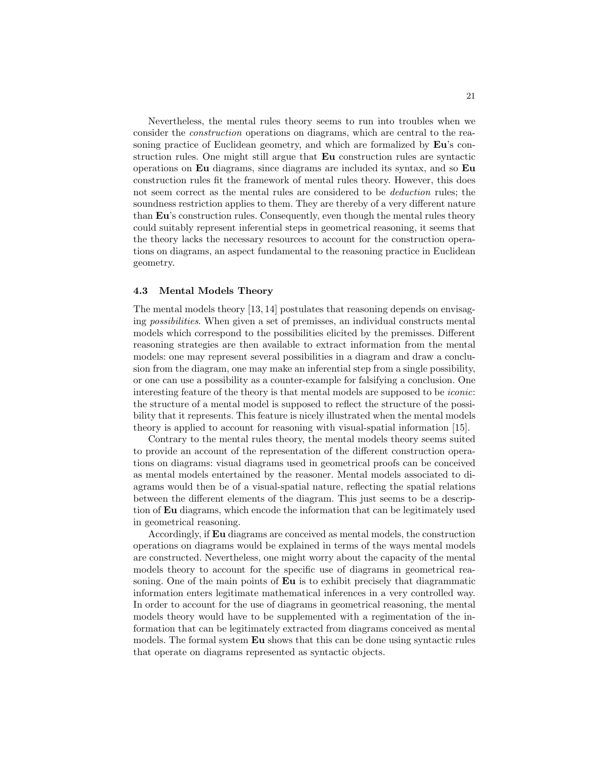Nevertheless, the mental rules theory seems to run into troubles when we consider the construction operations on diagrams, which are central to the reasoning practice of Euclidean geometry, and which are formalized by Eu's construction rules. One might still argue that Eu construction rules are syntactic operations on Eu diagrams, since diagrams are included its syntax, and so Eu construction rules fit the framework of mental rules theory. However, this does not seem correct as the mental rules are considered to be deduction rules; the soundness restriction applies to them. They are thereby of a very different nature than Eu's construction rules. Consequently, even though the mental rules theory could suitably represent inferential steps in geometrical reasoning, it seems that the theory lacks the necessary resources to account for the construction operations on diagrams, an aspect fundamental to the reasoning practice in Euclidean geometry.

#### 4.3 Mental Models Theory

The mental models theory [13, 14] postulates that reasoning depends on envisaging possibilities. When given a set of premisses, an individual constructs mental models which correspond to the possibilities elicited by the premisses. Different reasoning strategies are then available to extract information from the mental models: one may represent several possibilities in a diagram and draw a conclusion from the diagram, one may make an inferential step from a single possibility, or one can use a possibility as a counter-example for falsifying a conclusion. One interesting feature of the theory is that mental models are supposed to be iconic: the structure of a mental model is supposed to reflect the structure of the possibility that it represents. This feature is nicely illustrated when the mental models theory is applied to account for reasoning with visual-spatial information [15].

Contrary to the mental rules theory, the mental models theory seems suited to provide an account of the representation of the different construction operations on diagrams: visual diagrams used in geometrical proofs can be conceived as mental models entertained by the reasoner. Mental models associated to diagrams would then be of a visual-spatial nature, reflecting the spatial relations between the different elements of the diagram. This just seems to be a description of Eu diagrams, which encode the information that can be legitimately used in geometrical reasoning.

Accordingly, if Eu diagrams are conceived as mental models, the construction operations on diagrams would be explained in terms of the ways mental models are constructed. Nevertheless, one might worry about the capacity of the mental models theory to account for the specific use of diagrams in geometrical reasoning. One of the main points of **Eu** is to exhibit precisely that diagrammatic information enters legitimate mathematical inferences in a very controlled way. In order to account for the use of diagrams in geometrical reasoning, the mental models theory would have to be supplemented with a regimentation of the information that can be legitimately extracted from diagrams conceived as mental models. The formal system Eu shows that this can be done using syntactic rules that operate on diagrams represented as syntactic objects.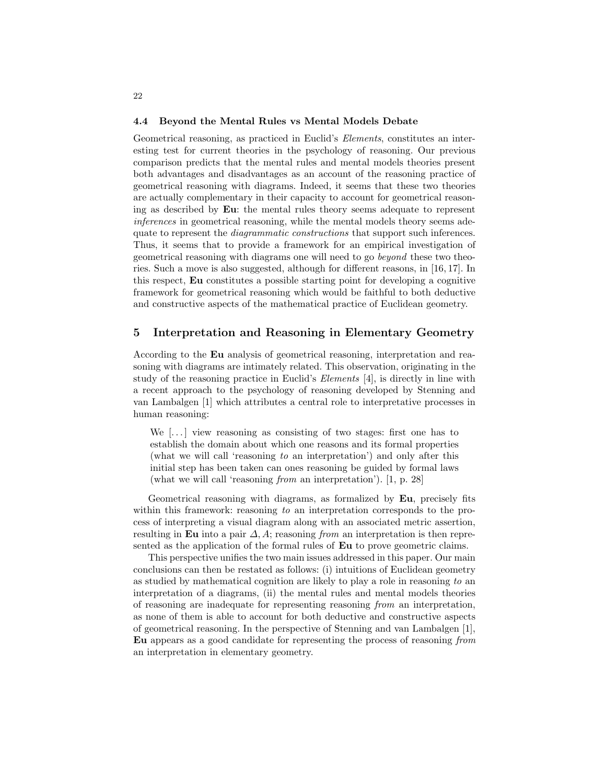#### 4.4 Beyond the Mental Rules vs Mental Models Debate

Geometrical reasoning, as practiced in Euclid's Elements, constitutes an interesting test for current theories in the psychology of reasoning. Our previous comparison predicts that the mental rules and mental models theories present both advantages and disadvantages as an account of the reasoning practice of geometrical reasoning with diagrams. Indeed, it seems that these two theories are actually complementary in their capacity to account for geometrical reasoning as described by Eu: the mental rules theory seems adequate to represent inferences in geometrical reasoning, while the mental models theory seems adequate to represent the *diagrammatic constructions* that support such inferences. Thus, it seems that to provide a framework for an empirical investigation of geometrical reasoning with diagrams one will need to go beyond these two theories. Such a move is also suggested, although for different reasons, in [16, 17]. In this respect, Eu constitutes a possible starting point for developing a cognitive framework for geometrical reasoning which would be faithful to both deductive and constructive aspects of the mathematical practice of Euclidean geometry.

#### 5 Interpretation and Reasoning in Elementary Geometry

According to the Eu analysis of geometrical reasoning, interpretation and reasoning with diagrams are intimately related. This observation, originating in the study of the reasoning practice in Euclid's Elements [4], is directly in line with a recent approach to the psychology of reasoning developed by Stenning and van Lambalgen [1] which attributes a central role to interpretative processes in human reasoning:

We  $\left[\ldots\right]$  view reasoning as consisting of two stages: first one has to establish the domain about which one reasons and its formal properties (what we will call 'reasoning to an interpretation') and only after this initial step has been taken can ones reasoning be guided by formal laws (what we will call 'reasoning from an interpretation'). [1, p. 28]

Geometrical reasoning with diagrams, as formalized by Eu, precisely fits within this framework: reasoning to an interpretation corresponds to the process of interpreting a visual diagram along with an associated metric assertion, resulting in Eu into a pair  $\Delta$ , A; reasoning from an interpretation is then represented as the application of the formal rules of Eu to prove geometric claims.

This perspective unifies the two main issues addressed in this paper. Our main conclusions can then be restated as follows: (i) intuitions of Euclidean geometry as studied by mathematical cognition are likely to play a role in reasoning to an interpretation of a diagrams, (ii) the mental rules and mental models theories of reasoning are inadequate for representing reasoning from an interpretation, as none of them is able to account for both deductive and constructive aspects of geometrical reasoning. In the perspective of Stenning and van Lambalgen [1], Eu appears as a good candidate for representing the process of reasoning from an interpretation in elementary geometry.

22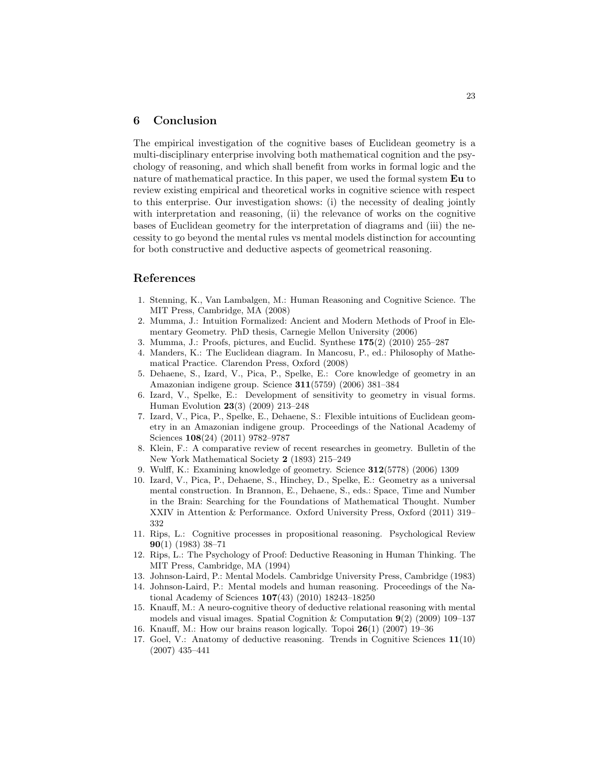### 6 Conclusion

The empirical investigation of the cognitive bases of Euclidean geometry is a multi-disciplinary enterprise involving both mathematical cognition and the psychology of reasoning, and which shall benefit from works in formal logic and the nature of mathematical practice. In this paper, we used the formal system Eu to review existing empirical and theoretical works in cognitive science with respect to this enterprise. Our investigation shows: (i) the necessity of dealing jointly with interpretation and reasoning, (ii) the relevance of works on the cognitive bases of Euclidean geometry for the interpretation of diagrams and (iii) the necessity to go beyond the mental rules vs mental models distinction for accounting for both constructive and deductive aspects of geometrical reasoning.

#### References

- 1. Stenning, K., Van Lambalgen, M.: Human Reasoning and Cognitive Science. The MIT Press, Cambridge, MA (2008)
- 2. Mumma, J.: Intuition Formalized: Ancient and Modern Methods of Proof in Elementary Geometry. PhD thesis, Carnegie Mellon University (2006)
- 3. Mumma, J.: Proofs, pictures, and Euclid. Synthese 175(2) (2010) 255–287
- 4. Manders, K.: The Euclidean diagram. In Mancosu, P., ed.: Philosophy of Mathematical Practice. Clarendon Press, Oxford (2008)
- 5. Dehaene, S., Izard, V., Pica, P., Spelke, E.: Core knowledge of geometry in an Amazonian indigene group. Science 311(5759) (2006) 381–384
- 6. Izard, V., Spelke, E.: Development of sensitivity to geometry in visual forms. Human Evolution 23(3) (2009) 213–248
- 7. Izard, V., Pica, P., Spelke, E., Dehaene, S.: Flexible intuitions of Euclidean geometry in an Amazonian indigene group. Proceedings of the National Academy of Sciences 108(24) (2011) 9782–9787
- 8. Klein, F.: A comparative review of recent researches in geometry. Bulletin of the New York Mathematical Society 2 (1893) 215–249
- 9. Wulff, K.: Examining knowledge of geometry. Science 312(5778) (2006) 1309
- 10. Izard, V., Pica, P., Dehaene, S., Hinchey, D., Spelke, E.: Geometry as a universal mental construction. In Brannon, E., Dehaene, S., eds.: Space, Time and Number in the Brain: Searching for the Foundations of Mathematical Thought. Number XXIV in Attention & Performance. Oxford University Press, Oxford (2011) 319– 332
- 11. Rips, L.: Cognitive processes in propositional reasoning. Psychological Review 90(1) (1983) 38–71
- 12. Rips, L.: The Psychology of Proof: Deductive Reasoning in Human Thinking. The MIT Press, Cambridge, MA (1994)
- 13. Johnson-Laird, P.: Mental Models. Cambridge University Press, Cambridge (1983)
- 14. Johnson-Laird, P.: Mental models and human reasoning. Proceedings of the National Academy of Sciences 107(43) (2010) 18243–18250
- 15. Knauff, M.: A neuro-cognitive theory of deductive relational reasoning with mental models and visual images. Spatial Cognition & Computation  $9(2)$  (2009) 109–137
- 16. Knauff, M.: How our brains reason logically. Topoi 26(1) (2007) 19–36
- 17. Goel, V.: Anatomy of deductive reasoning. Trends in Cognitive Sciences 11(10) (2007) 435–441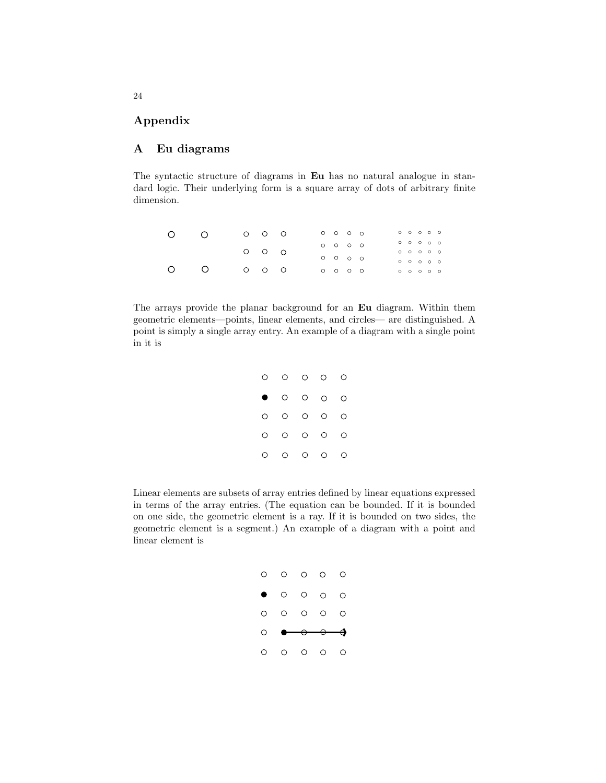## Appendix

### A Eu diagrams

The syntactic structure of diagrams in Eu has no natural analogue in standard logic. Their underlying form is a square array of dots of arbitrary finite dimension.

| $\circ$   | $\bigcap$ | $O$ $O$ $O$ |  | $0$ 0 0 0                       |  | $\circ\;\,\circ\;\,\circ\;\,\circ\;\,\circ$ |  |  |
|-----------|-----------|-------------|--|---------------------------------|--|---------------------------------------------|--|--|
|           |           |             |  | $\circ \circ \circ \circ \circ$ |  | 00000                                       |  |  |
|           |           | $O$ $O$ $O$ |  |                                 |  | $\circ \circ \circ \circ \circ \circ$       |  |  |
|           |           |             |  | 0 0 0 0                         |  | $\circ \circ \circ \circ \circ \circ$       |  |  |
| $\bigcap$ |           | $O$ $O$ $O$ |  | 0000                            |  | $\circ \circ \circ \circ \circ \circ$       |  |  |

The arrays provide the planar background for an Eu diagram. Within them geometric elements—points, linear elements, and circles— are distinguished. A point is simply a single array entry. An example of a diagram with a single point in it is

| O       | $\circ$ | $\circ$ | $\circ$ | O |
|---------|---------|---------|---------|---|
| Œ       | $\circ$ | $\circ$ | $\circ$ | O |
| О       | $\circ$ | $\circ$ | $\circ$ | O |
| $\circ$ | $\circ$ | $\circ$ | $\circ$ | О |
| О       | $\circ$ | $\circ$ | $\circ$ | O |

Linear elements are subsets of array entries defined by linear equations expressed in terms of the array entries. (The equation can be bounded. If it is bounded on one side, the geometric element is a ray. If it is bounded on two sides, the geometric element is a segment.) An example of a diagram with a point and linear element is

| $\begin{array}{ccccccccccccccccc} \circ & \circ & \circ & \circ & \circ & \circ \end{array}$ |  | O       |
|----------------------------------------------------------------------------------------------|--|---------|
| $\bullet$ 0 0 0 0                                                                            |  |         |
| $\begin{array}{ccccccccccccc}\n0 & 0 & 0 & 0 & 0 & 0\n\end{array}$                           |  |         |
| $\circ$ $\bullet$ $\circ$ $\bullet$                                                          |  |         |
| $\begin{array}{ccccccccccccccccc} \circ & \circ & \circ & \circ & \circ & \circ \end{array}$ |  | $\circ$ |

24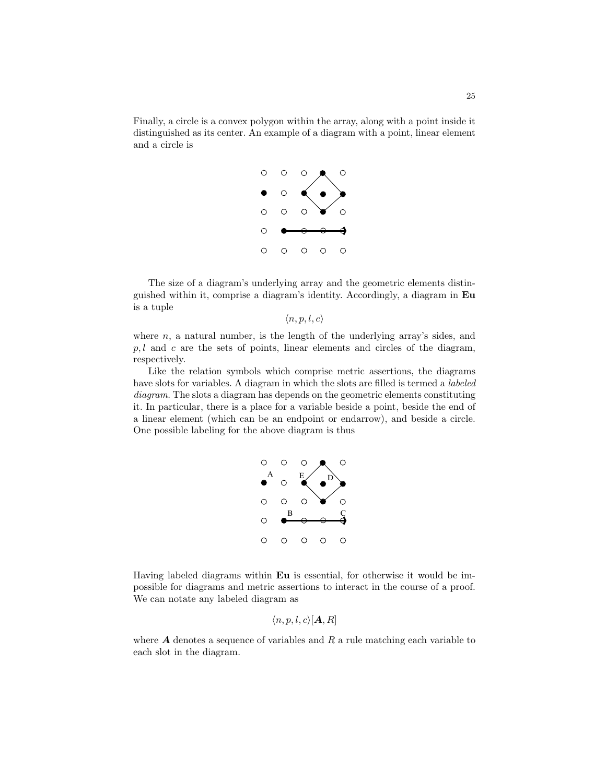Finally, a circle is a convex polygon within the array, along with a point inside it distinguished as its center. An example of a diagram with a point, linear element and a circle is



The size of a diagram's underlying array and the geometric elements distinguished within it, comprise a diagram's identity. Accordingly, a diagram in Eu is a tuple

 $\langle n, p, l, c \rangle$ 

where  $n$ , a natural number, is the length of the underlying array's sides, and  $p, l$  and c are the sets of points, linear elements and circles of the diagram, respectively.

Like the relation symbols which comprise metric assertions, the diagrams have slots for variables. A diagram in which the slots are filled is termed a *labeled* diagram. The slots a diagram has depends on the geometric elements constituting it. In particular, there is a place for a variable beside a point, beside the end of a linear element (which can be an endpoint or endarrow), and beside a circle. One possible labeling for the above diagram is thus



Having labeled diagrams within Eu is essential, for otherwise it would be impossible for diagrams and metric assertions to interact in the course of a proof. We can notate any labeled diagram as

$$
\langle n, p, l, c \rangle [\mathbf{A}, R]
$$

where  $A$  denotes a sequence of variables and  $R$  a rule matching each variable to each slot in the diagram.